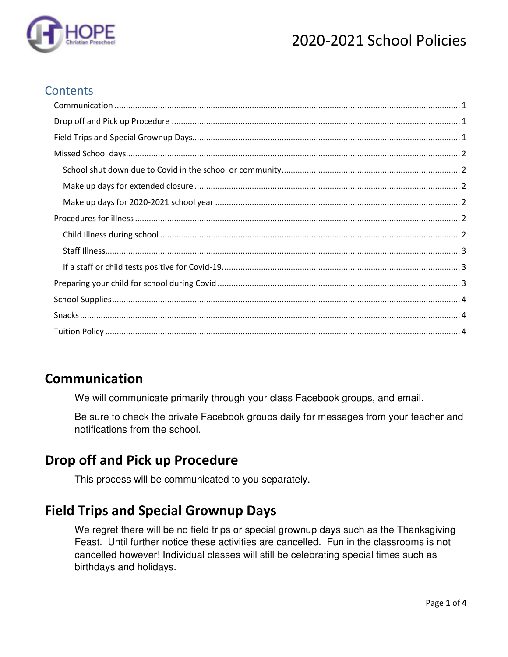

# 2020-2021 School Policies

### **Contents**

## <span id="page-0-0"></span>**Communication**

We will communicate primarily through your class Facebook groups, and email.

Be sure to check the private Facebook groups daily for messages from your teacher and notifications from the school.

## <span id="page-0-1"></span>**Drop off and Pick up Procedure**

This process will be communicated to you separately.

## <span id="page-0-2"></span>**Field Trips and Special Grownup Days**

We regret there will be no field trips or special grownup days such as the Thanksgiving Feast. Until further notice these activities are cancelled. Fun in the classrooms is not cancelled however! Individual classes will still be celebrating special times such as birthdays and holidays.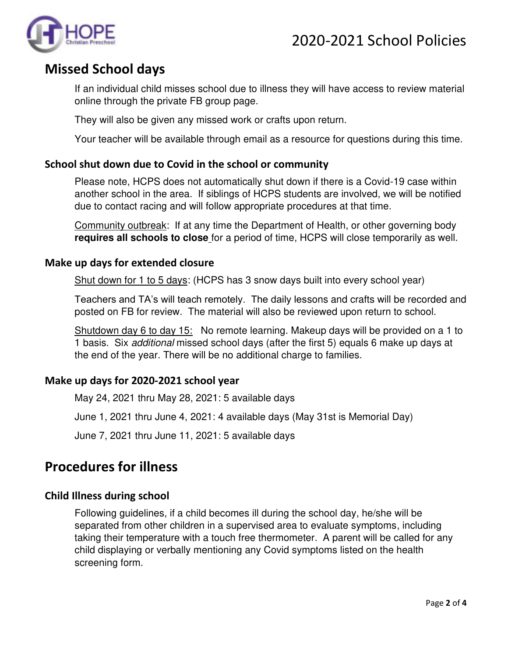# 2020-2021 School Policies



## <span id="page-1-0"></span>**Missed School days**

If an individual child misses school due to illness they will have access to review material online through the private FB group page.

They will also be given any missed work or crafts upon return.

Your teacher will be available through email as a resource for questions during this time.

#### <span id="page-1-1"></span>**School shut down due to Covid in the school or community**

Please note, HCPS does not automatically shut down if there is a Covid-19 case within another school in the area. If siblings of HCPS students are involved, we will be notified due to contact racing and will follow appropriate procedures at that time.

Community outbreak: If at any time the Department of Health, or other governing body **requires all schools to close** for a period of time, HCPS will close temporarily as well.

#### <span id="page-1-2"></span>**Make up days for extended closure**

Shut down for 1 to 5 days: (HCPS has 3 snow days built into every school year)

Teachers and TA's will teach remotely. The daily lessons and crafts will be recorded and posted on FB for review. The material will also be reviewed upon return to school.

Shutdown day 6 to day 15: No remote learning. Makeup days will be provided on a 1 to 1 basis. Six additional missed school days (after the first 5) equals 6 make up days at the end of the year. There will be no additional charge to families.

#### <span id="page-1-3"></span>**Make up days for 2020-2021 school year**

May 24, 2021 thru May 28, 2021: 5 available days

June 1, 2021 thru June 4, 2021: 4 available days (May 31st is Memorial Day)

June 7, 2021 thru June 11, 2021: 5 available days

### <span id="page-1-4"></span>**Procedures for illness**

#### <span id="page-1-5"></span>**Child Illness during school**

Following guidelines, if a child becomes ill during the school day, he/she will be separated from other children in a supervised area to evaluate symptoms, including taking their temperature with a touch free thermometer. A parent will be called for any child displaying or verbally mentioning any Covid symptoms listed on the health screening form.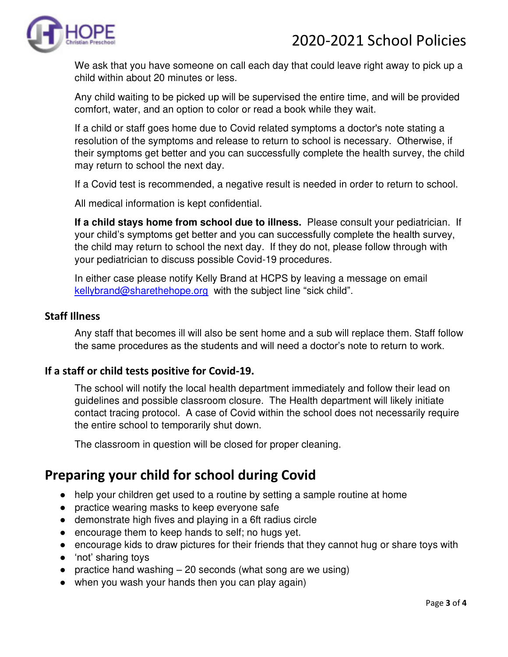

We ask that you have someone on call each day that could leave right away to pick up a child within about 20 minutes or less.

Any child waiting to be picked up will be supervised the entire time, and will be provided comfort, water, and an option to color or read a book while they wait.

If a child or staff goes home due to Covid related symptoms a doctor's note stating a resolution of the symptoms and release to return to school is necessary. Otherwise, if their symptoms get better and you can successfully complete the health survey, the child may return to school the next day.

If a Covid test is recommended, a negative result is needed in order to return to school.

All medical information is kept confidential.

**If a child stays home from school due to illness.** Please consult your pediatrician. If your child's symptoms get better and you can successfully complete the health survey, the child may return to school the next day. If they do not, please follow through with your pediatrician to discuss possible Covid-19 procedures.

In either case please notify Kelly Brand at HCPS by leaving a message on email [kellybrand@sharethehope.org](mailto:kellybrand@sharethehope.org) with the subject line "sick child".

#### <span id="page-2-0"></span>**Staff Illness**

Any staff that becomes ill will also be sent home and a sub will replace them. Staff follow the same procedures as the students and will need a doctor's note to return to work.

#### <span id="page-2-1"></span>**If a staff or child tests positive for Covid-19.**

The school will notify the local health department immediately and follow their lead on guidelines and possible classroom closure. The Health department will likely initiate contact tracing protocol. A case of Covid within the school does not necessarily require the entire school to temporarily shut down.

The classroom in question will be closed for proper cleaning.

# <span id="page-2-2"></span>**Preparing your child for school during Covid**

- help your children get used to a routine by setting a sample routine at home
- practice wearing masks to keep everyone safe
- demonstrate high fives and playing in a 6ft radius circle
- encourage them to keep hands to self; no hugs yet.
- encourage kids to draw pictures for their friends that they cannot hug or share toys with
- 'not' sharing toys
- practice hand washing  $-20$  seconds (what song are we using)
- when you wash your hands then you can play again)